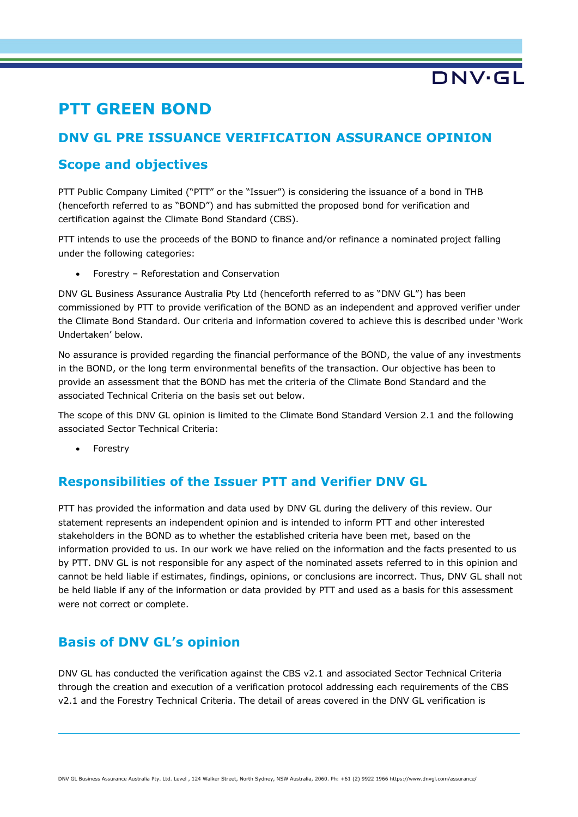## **PTT GREEN BOND**

## **DNV GL PRE ISSUANCE VERIFICATION ASSURANCE OPINION**

### **Scope and objectives**

PTT Public Company Limited ("PTT" or the "Issuer") is considering the issuance of a bond in THB (henceforth referred to as "BOND") and has submitted the proposed bond for verification and certification against the Climate Bond Standard (CBS).

PTT intends to use the proceeds of the BOND to finance and/or refinance a nominated project falling under the following categories:

• Forestry – Reforestation and Conservation

DNV GL Business Assurance Australia Pty Ltd (henceforth referred to as "DNV GL") has been commissioned by PTT to provide verification of the BOND as an independent and approved verifier under the Climate Bond Standard. Our criteria and information covered to achieve this is described under 'Work Undertaken' below.

No assurance is provided regarding the financial performance of the BOND, the value of any investments in the BOND, or the long term environmental benefits of the transaction. Our objective has been to provide an assessment that the BOND has met the criteria of the Climate Bond Standard and the associated Technical Criteria on the basis set out below.

The scope of this DNV GL opinion is limited to the Climate Bond Standard Version 2.1 and the following associated Sector Technical Criteria:

**Forestry** 

### **Responsibilities of the Issuer PTT and Verifier DNV GL**

PTT has provided the information and data used by DNV GL during the delivery of this review. Our statement represents an independent opinion and is intended to inform PTT and other interested stakeholders in the BOND as to whether the established criteria have been met, based on the information provided to us. In our work we have relied on the information and the facts presented to us by PTT. DNV GL is not responsible for any aspect of the nominated assets referred to in this opinion and cannot be held liable if estimates, findings, opinions, or conclusions are incorrect. Thus, DNV GL shall not be held liable if any of the information or data provided by PTT and used as a basis for this assessment were not correct or complete.

## **Basis of DNV GL's opinion**

DNV GL has conducted the verification against the CBS v2.1 and associated Sector Technical Criteria through the creation and execution of a verification protocol addressing each requirements of the CBS v2.1 and the Forestry Technical Criteria. The detail of areas covered in the DNV GL verification is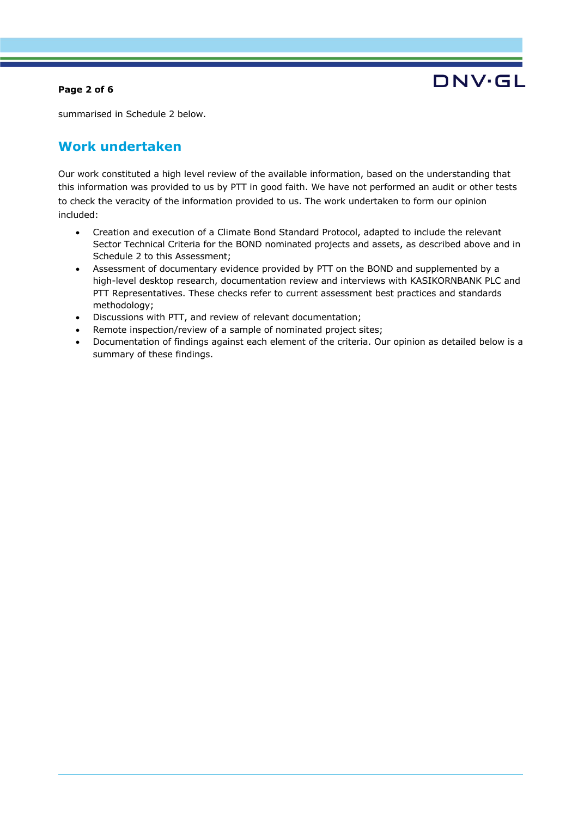#### **Page 2 of 6**



summarised in Schedule 2 below.

### **Work undertaken**

Our work constituted a high level review of the available information, based on the understanding that this information was provided to us by PTT in good faith. We have not performed an audit or other tests to check the veracity of the information provided to us. The work undertaken to form our opinion included:

- Creation and execution of a Climate Bond Standard Protocol, adapted to include the relevant Sector Technical Criteria for the BOND nominated projects and assets, as described above and in Schedule 2 to this Assessment;
- Assessment of documentary evidence provided by PTT on the BOND and supplemented by a high-level desktop research, documentation review and interviews with KASIKORNBANK PLC and PTT Representatives. These checks refer to current assessment best practices and standards methodology;
- Discussions with PTT, and review of relevant documentation;
- Remote inspection/review of a sample of nominated project sites;
- Documentation of findings against each element of the criteria. Our opinion as detailed below is a summary of these findings.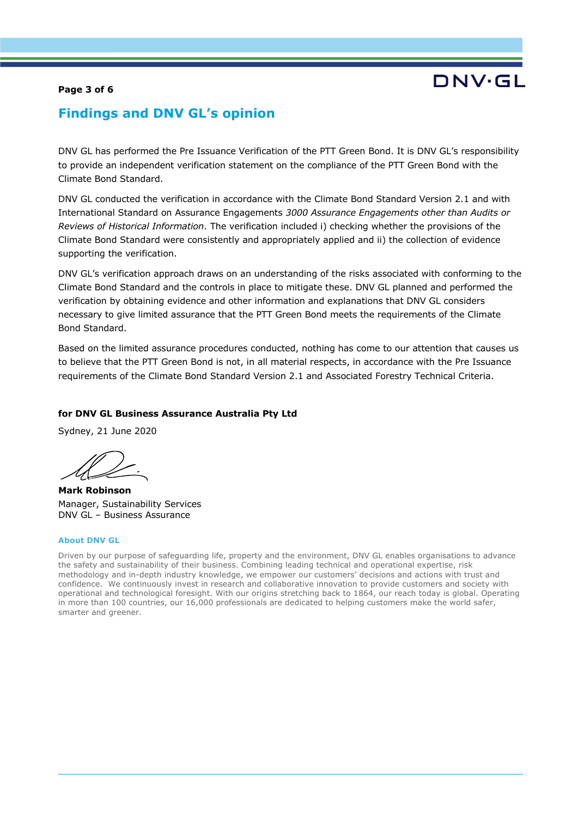#### **Page 3 of 6**

# DNV.GI

### **Findings and DNV GL's opinion**

DNV GL has performed the Pre Issuance Verification of the PTT Green Bond. It is DNV GL's responsibility to provide an independent verification statement on the compliance of the PTT Green Bond with the Climate Bond Standard.

DNV GL conducted the verification in accordance with the Climate Bond Standard Version 2.1 and with International Standard on Assurance Engagements *3000 Assurance Engagements other than Audits or Reviews of Historical Information*. The verification included i) checking whether the provisions of the Climate Bond Standard were consistently and appropriately applied and ii) the collection of evidence supporting the verification.

DNV GL's verification approach draws on an understanding of the risks associated with conforming to the Climate Bond Standard and the controls in place to mitigate these. DNV GL planned and performed the verification by obtaining evidence and other information and explanations that DNV GL considers necessary to give limited assurance that the PTT Green Bond meets the requirements of the Climate Bond Standard.

Based on the limited assurance procedures conducted, nothing has come to our attention that causes us to believe that the PTT Green Bond is not, in all material respects, in accordance with the Pre Issuance requirements of the Climate Bond Standard Version 2.1 and Associated Forestry Technical Criteria.

#### **for DNV GL Business Assurance Australia Pty Ltd**

Sydney, 21 June 2020

**Mark Robinson** Manager, Sustainability Services DNV GL – Business Assurance

#### **About DNV GL**

Driven by our purpose of safeguarding life, property and the environment, DNV GL enables organisations to advance the safety and sustainability of their business. Combining leading technical and operational expertise, risk methodology and in-depth industry knowledge, we empower our customers' decisions and actions with trust and confidence. We continuously invest in research and collaborative innovation to provide customers and society with operational and technological foresight. With our origins stretching back to 1864, our reach today is global. Operating in more than 100 countries, our 16,000 professionals are dedicated to helping customers make the world safer, smarter and greener.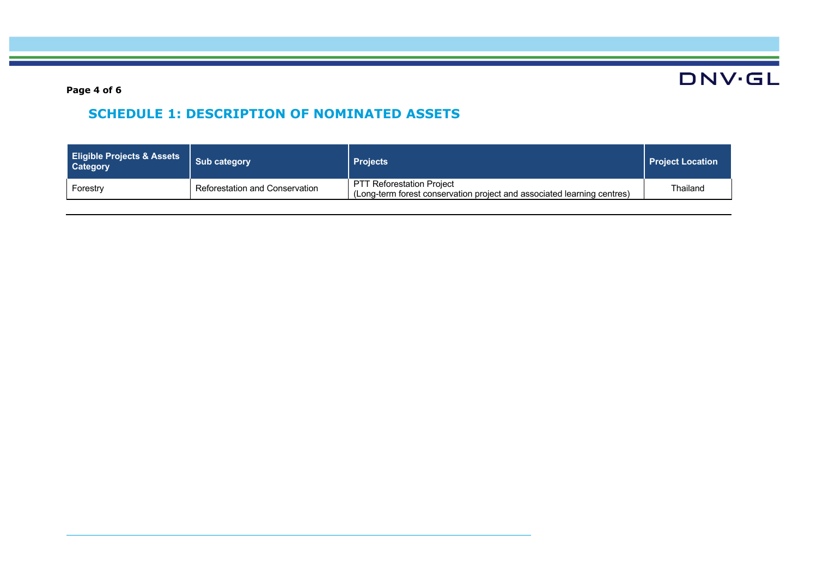**DNV·GL** 

**Page 4 of 6**

## **SCHEDULE 1: DESCRIPTION OF NOMINATED ASSETS**

| <b>Eligible Projects &amp; Assets</b><br><b>Category</b> | <b>Sub category</b>            | <b>Projects</b>                                                                                             | <b>Project Location</b> |
|----------------------------------------------------------|--------------------------------|-------------------------------------------------------------------------------------------------------------|-------------------------|
| Forestry                                                 | Reforestation and Conservation | <b>PTT Reforestation Project</b><br>(Long-term forest conservation project and associated learning centres) | Thailand                |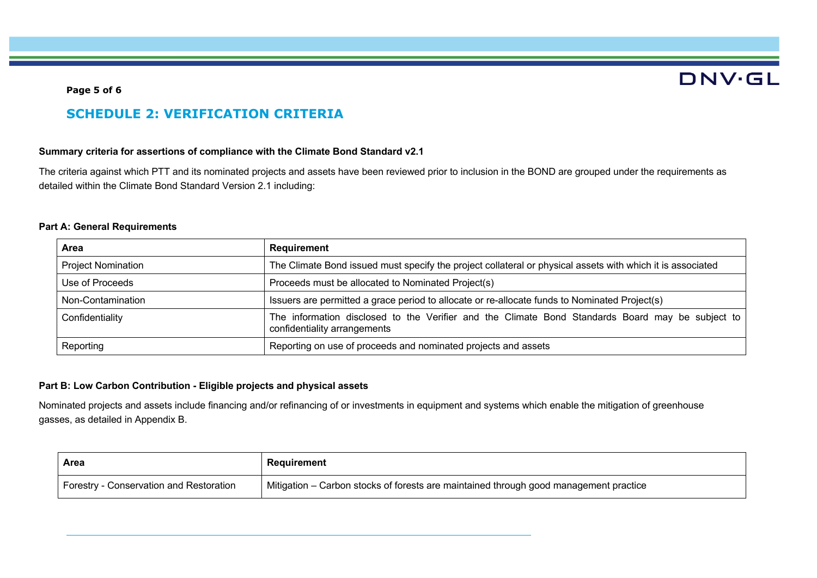# **DNV·GL**

#### **Page 5 of 6**

### **SCHEDULE 2: VERIFICATION CRITERIA**

#### **Summary criteria for assertions of compliance with the Climate Bond Standard v2.1**

The criteria against which PTT and its nominated projects and assets have been reviewed prior to inclusion in the BOND are grouped under the requirements as detailed within the Climate Bond Standard Version 2.1 including:

#### **Part A: General Requirements**

| Area                      | Requirement                                                                                                                      |
|---------------------------|----------------------------------------------------------------------------------------------------------------------------------|
| <b>Project Nomination</b> | The Climate Bond issued must specify the project collateral or physical assets with which it is associated                       |
| Use of Proceeds           | Proceeds must be allocated to Nominated Project(s)                                                                               |
| Non-Contamination         | Issuers are permitted a grace period to allocate or re-allocate funds to Nominated Project(s)                                    |
| Confidentiality           | The information disclosed to the Verifier and the Climate Bond Standards Board may be subject to<br>confidentiality arrangements |
| Reporting                 | Reporting on use of proceeds and nominated projects and assets                                                                   |

#### **Part B: Low Carbon Contribution - Eligible projects and physical assets**

Nominated projects and assets include financing and/or refinancing of or investments in equipment and systems which enable the mitigation of greenhouse gasses, as detailed in Appendix B.

| Area                                    | Requirement                                                                           |
|-----------------------------------------|---------------------------------------------------------------------------------------|
| Forestry - Conservation and Restoration | Nitigation - Carbon stocks of forests are maintained through good management practice |